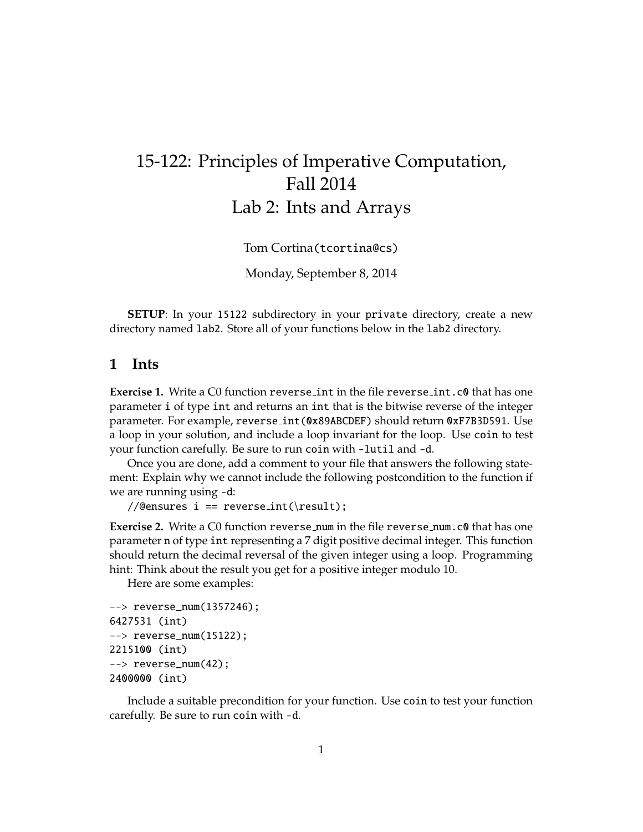# 15-122: Principles of Imperative Computation, Fall 2014 Lab 2: Ints and Arrays

Tom Cortina(tcortina@cs)

Monday, September 8, 2014

**SETUP**: In your 15122 subdirectory in your private directory, create a new directory named lab2. Store all of your functions below in the lab2 directory.

#### **1 Ints**

**Exercise 1.** Write a C0 function reverse int in the file reverse int.c0 that has one parameter i of type int and returns an int that is the bitwise reverse of the integer parameter. For example, reverse int(0x89ABCDEF) should return 0xF7B3D591. Use a loop in your solution, and include a loop invariant for the loop. Use coin to test your function carefully. Be sure to run coin with -lutil and -d.

Once you are done, add a comment to your file that answers the following statement: Explain why we cannot include the following postcondition to the function if we are running using -d:

//@ensures i == reverse\_int(\result);

**Exercise 2.** Write a C0 function reverse num in the file reverse num.c0 that has one parameter n of type int representing a 7 digit positive decimal integer. This function should return the decimal reversal of the given integer using a loop. Programming hint: Think about the result you get for a positive integer modulo 10.

Here are some examples:

```
--> reverse_num(1357246);
6427531 (int)
--> reverse_num(15122);
2215100 (int)
--> reverse_num(42);
2400000 (int)
```
Include a suitable precondition for your function. Use coin to test your function carefully. Be sure to run coin with -d.